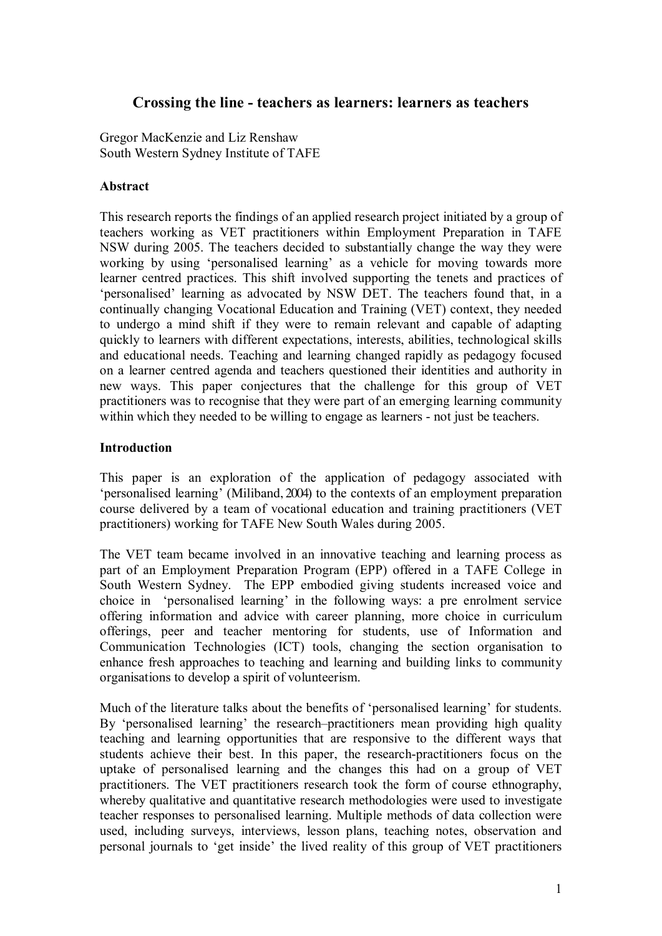# **Crossing the line teachers as learners: learners as teachers**

Gregor MacKenzie and Liz Renshaw South Western Sydney Institute of TAFE

## **Abstract**

This research reports the findings of an applied research project initiated by a group of teachers working as VET practitioners within Employment Preparation in TAFE NSW during 2005. The teachers decided to substantially change the way they were working by using 'personalised learning' as a vehicle for moving towards more learner centred practices. This shift involved supporting the tenets and practices of 'personalised' learning as advocated by NSW DET. The teachers found that, in a continually changing Vocational Education and Training (VET) context, they needed to undergo a mind shift if they were to remain relevant and capable of adapting quickly to learners with different expectations, interests, abilities, technological skills and educational needs. Teaching and learning changed rapidly as pedagogy focused on a learner centred agenda and teachers questioned their identities and authority in new ways. This paper conjectures that the challenge for this group of VET practitioners was to recognise that they were part of an emerging learning community within which they needed to be willing to engage as learners - not just be teachers.

#### **Introduction**

This paper is an exploration of the application of pedagogy associated with 'personalised learning' (Miliband, 2004) to the contexts of an employment preparation course delivered by a team of vocational education and training practitioners (VET practitioners) working for TAFE New South Wales during 2005.

The VET team became involved in an innovative teaching and learning process as part of an Employment Preparation Program (EPP) offered in a TAFE College in South Western Sydney. The EPP embodied giving students increased voice and choice in 'personalised learning' in the following ways: a pre enrolment service offering information and advice with career planning, more choice in curriculum offerings, peer and teacher mentoring for students, use of Information and Communication Technologies (ICT) tools, changing the section organisation to enhance fresh approaches to teaching and learning and building links to community organisations to develop a spirit of volunteerism.

Much of the literature talks about the benefits of 'personalised learning' for students. By 'personalised learning' the research–practitioners mean providing high quality teaching and learning opportunities that are responsive to the different ways that students achieve their best. In this paper, the research-practitioners focus on the uptake of personalised learning and the changes this had on a group of VET practitioners. The VET practitioners research took the form of course ethnography, whereby qualitative and quantitative research methodologies were used to investigate teacher responses to personalised learning. Multiple methods of data collection were used, including surveys, interviews, lesson plans, teaching notes, observation and personal journals to 'get inside' the lived reality of this group of VET practitioners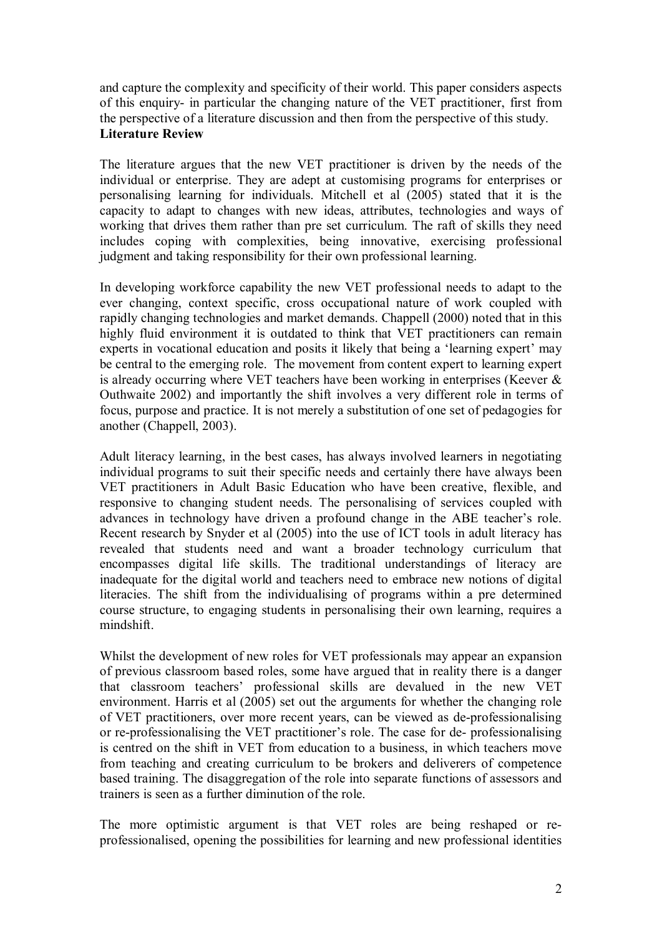and capture the complexity and specificity of their world. This paper considers aspects of this enquiry in particular the changing nature of the VET practitioner, first from the perspective of a literature discussion and then from the perspective of this study. **Literature Review**

The literature argues that the new VET practitioner is driven by the needs of the individual or enterprise. They are adept at customising programs for enterprises or personalising learning for individuals. Mitchell et al (2005) stated that it is the capacity to adapt to changes with new ideas, attributes, technologies and ways of working that drives them rather than pre set curriculum. The raft of skills they need includes coping with complexities, being innovative, exercising professional judgment and taking responsibility for their own professional learning.

In developing workforce capability the new VET professional needs to adapt to the ever changing, context specific, cross occupational nature of work coupled with rapidly changing technologies and market demands. Chappell (2000) noted that in this highly fluid environment it is outdated to think that VET practitioners can remain experts in vocational education and posits it likely that being a 'learning expert' may be central to the emerging role. The movement from content expert to learning expert is already occurring where VET teachers have been working in enterprises (Keever  $\&$ Outhwaite 2002) and importantly the shift involves a very different role in terms of focus, purpose and practice. It is not merely a substitution of one set of pedagogies for another (Chappell, 2003).

Adult literacy learning, in the best cases, has always involved learners in negotiating individual programs to suit their specific needs and certainly there have always been VET practitioners in Adult Basic Education who have been creative, flexible, and responsive to changing student needs. The personalising of services coupled with advances in technology have driven a profound change in the ABE teacher's role. Recent research by Snyder et al (2005) into the use of ICT tools in adult literacy has revealed that students need and want a broader technology curriculum that encompasses digital life skills. The traditional understandings of literacy are inadequate for the digital world and teachers need to embrace new notions of digital literacies. The shift from the individualising of programs within a pre determined course structure, to engaging students in personalising their own learning, requires a mindshift.

Whilst the development of new roles for VET professionals may appear an expansion of previous classroom based roles, some have argued that in reality there is a danger that classroom teachers' professional skills are devalued in the new VET environment. Harris et al (2005) set out the arguments for whether the changing role of VET practitioners, over more recent years, can be viewed as de-professionalising or re-professionalising the VET practitioner's role. The case for de-professionalising is centred on the shift in VET from education to a business, in which teachers move from teaching and creating curriculum to be brokers and deliverers of competence based training. The disaggregation of the role into separate functions of assessors and trainers is seen as a further diminution of the role.

The more optimistic argument is that VET roles are being reshaped or re professionalised, opening the possibilities for learning and new professional identities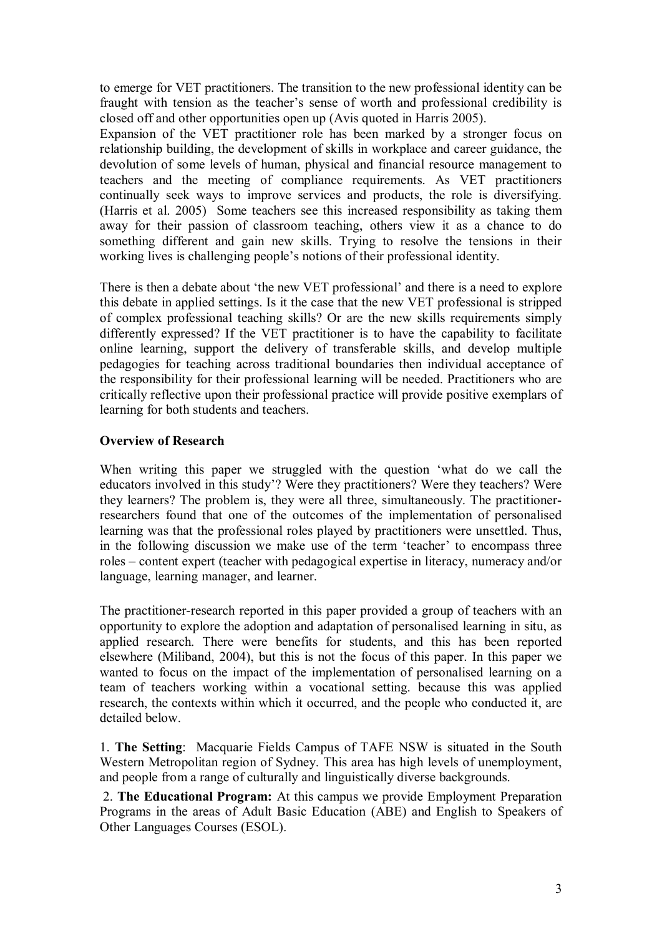to emerge for VET practitioners. The transition to the new professional identity can be fraught with tension as the teacher's sense of worth and professional credibility is closed off and other opportunities open up (Avis quoted in Harris 2005).

Expansion of the VET practitioner role has been marked by a stronger focus on relationship building, the development of skills in workplace and career guidance, the devolution of some levels of human, physical and financial resource management to teachers and the meeting of compliance requirements. As VET practitioners continually seek ways to improve services and products, the role is diversifying. (Harris et al. 2005) Some teachers see this increased responsibility as taking them away for their passion of classroom teaching, others view it as a chance to do something different and gain new skills. Trying to resolve the tensions in their working lives is challenging people's notions of their professional identity.

There is then a debate about 'the new VET professional' and there is a need to explore this debate in applied settings. Is it the case that the new VET professional is stripped of complex professional teaching skills? Or are the new skills requirements simply differently expressed? If the VET practitioner is to have the capability to facilitate online learning, support the delivery of transferable skills, and develop multiple pedagogies for teaching across traditional boundaries then individual acceptance of the responsibility for their professional learning will be needed. Practitioners who are critically reflective upon their professional practice will provide positive exemplars of learning for both students and teachers.

## **Overview of Research**

When writing this paper we struggled with the question 'what do we call the educators involved in this study'? Were they practitioners? Were they teachers? Were they learners? The problem is, they were all three, simultaneously. The practitionerresearchers found that one of the outcomes of the implementation of personalised learning was that the professional roles played by practitioners were unsettled. Thus, in the following discussion we make use of the term 'teacher' to encompass three roles – content expert (teacher with pedagogical expertise in literacy, numeracy and/or language, learning manager, and learner.

The practitioner-research reported in this paper provided a group of teachers with an opportunity to explore the adoption and adaptation of personalised learning in situ, as applied research. There were benefits for students, and this has been reported elsewhere (Miliband, 2004), but this is not the focus of this paper. In this paper we wanted to focus on the impact of the implementation of personalised learning on a team of teachers working within a vocational setting. because this was applied research, the contexts within which it occurred, and the people who conducted it, are detailed below.

1. **The Setting**: Macquarie Fields Campus of TAFE NSW is situated in the South Western Metropolitan region of Sydney. This area has high levels of unemployment, and people from a range of culturally and linguistically diverse backgrounds.

2. **The Educational Program:** At this campus we provide Employment Preparation Programs in the areas of Adult Basic Education (ABE) and English to Speakers of Other Languages Courses (ESOL).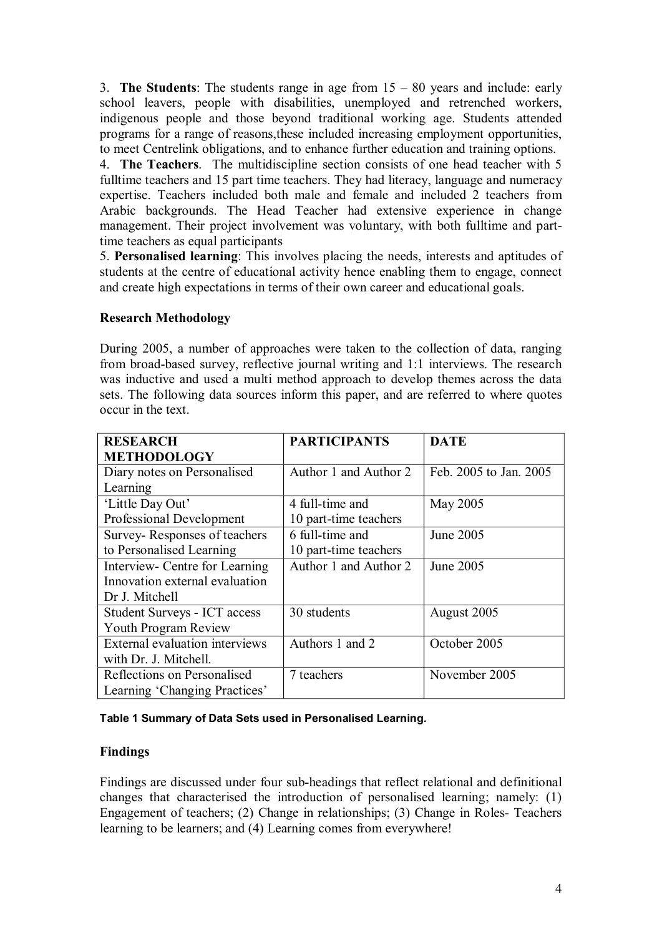3. **The Students**: The students range in age from 15 – 80 years and include: early school leavers, people with disabilities, unemployed and retrenched workers, indigenous people and those beyond traditional working age. Students attended programs for a range of reasons,these included increasing employment opportunities, to meet Centrelink obligations, and to enhance further education and training options.

4. **The Teachers**. The multidiscipline section consists of one head teacher with 5 fulltime teachers and 15 part time teachers. They had literacy, language and numeracy expertise. Teachers included both male and female and included 2 teachers from Arabic backgrounds. The Head Teacher had extensive experience in change management. Their project involvement was voluntary, with both fulltime and parttime teachers as equal participants

5. **Personalised learning**: This involves placing the needs, interests and aptitudes of students at the centre of educational activity hence enabling them to engage, connect and create high expectations in terms of their own career and educational goals.

## **Research Methodology**

During 2005, a number of approaches were taken to the collection of data, ranging from broad-based survey, reflective journal writing and 1:1 interviews. The research was inductive and used a multi method approach to develop themes across the data sets. The following data sources inform this paper, and are referred to where quotes occur in the text.

| <b>RESEARCH</b>                     | <b>PARTICIPANTS</b>   | <b>DATE</b>            |
|-------------------------------------|-----------------------|------------------------|
| <b>METHODOLOGY</b>                  |                       |                        |
| Diary notes on Personalised         | Author 1 and Author 2 | Feb. 2005 to Jan. 2005 |
| Learning                            |                       |                        |
| 'Little Day Out'                    | 4 full-time and       | May 2005               |
| Professional Development            | 10 part-time teachers |                        |
| Survey-Responses of teachers        | 6 full-time and       | June 2005              |
| to Personalised Learning            | 10 part-time teachers |                        |
| Interview- Centre for Learning      | Author 1 and Author 2 | June 2005              |
| Innovation external evaluation      |                       |                        |
| Dr J. Mitchell                      |                       |                        |
| <b>Student Surveys - ICT access</b> | 30 students           | August 2005            |
| <b>Youth Program Review</b>         |                       |                        |
| External evaluation interviews      | Authors 1 and 2       | October 2005           |
| with Dr. J. Mitchell.               |                       |                        |
| Reflections on Personalised         | 7 teachers            | November 2005          |
| Learning 'Changing Practices'       |                       |                        |

## **Table 1 Summary of Data Sets used in Personalised Learning***.*

## **Findings**

Findings are discussed under four sub-headings that reflect relational and definitional changes that characterised the introduction of personalised learning; namely: (1) Engagement of teachers; (2) Change in relationships; (3) Change in Roles-Teachers learning to be learners; and (4) Learning comes from everywhere!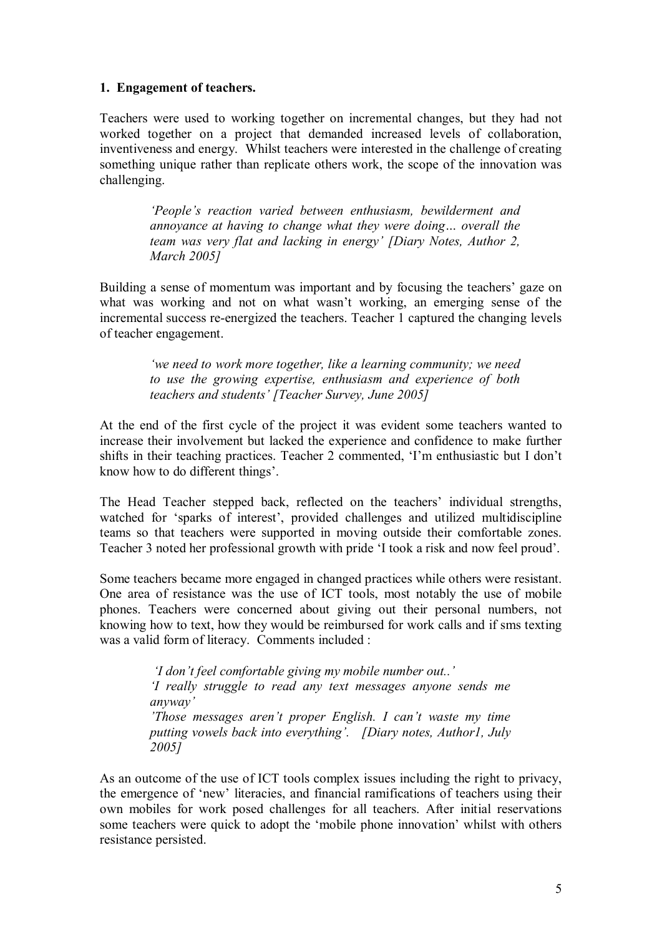#### **1. Engagement of teachers.**

Teachers were used to working together on incremental changes, but they had not worked together on a project that demanded increased levels of collaboration, inventiveness and energy. Whilst teachers were interested in the challenge of creating something unique rather than replicate others work, the scope of the innovation was challenging.

> *'People's reaction varied between enthusiasm, bewilderment and annoyance at having to change what they were doing… overall the team was very flat and lacking in energy' [Diary Notes, Author 2, March 2005]*

Building a sense of momentum was important and by focusing the teachers' gaze on what was working and not on what wasn't working, an emerging sense of the incremental success re-energized the teachers. Teacher 1 captured the changing levels of teacher engagement.

> *'we need to work more together, like a learning community; we need to use the growing expertise, enthusiasm and experience of both teachers and students' [Teacher Survey, June 2005]*

At the end of the first cycle of the project it was evident some teachers wanted to increase their involvement but lacked the experience and confidence to make further shifts in their teaching practices. Teacher 2 commented, 'I'm enthusiastic but I don't know how to do different things'.

The Head Teacher stepped back, reflected on the teachers' individual strengths, watched for 'sparks of interest', provided challenges and utilized multidiscipline teams so that teachers were supported in moving outside their comfortable zones. Teacher 3 noted her professional growth with pride 'I took a risk and now feel proud'.

Some teachers became more engaged in changed practices while others were resistant. One area of resistance was the use of ICT tools, most notably the use of mobile phones. Teachers were concerned about giving out their personal numbers, not knowing how to text, how they would be reimbursed for work calls and if sms texting was a valid form of literacy. Comments included :

> *'I don't feel comfortable giving my mobile number out..' 'I really struggle to read any text messages anyone sends me anyway' 'Those messages aren't proper English. I can't waste my time putting vowels back into everything'. [Diary notes, Author1, July 2005]*

As an outcome of the use of ICT tools complex issues including the right to privacy, the emergence of 'new' literacies, and financial ramifications of teachers using their own mobiles for work posed challenges for all teachers. After initial reservations some teachers were quick to adopt the 'mobile phone innovation' whilst with others resistance persisted.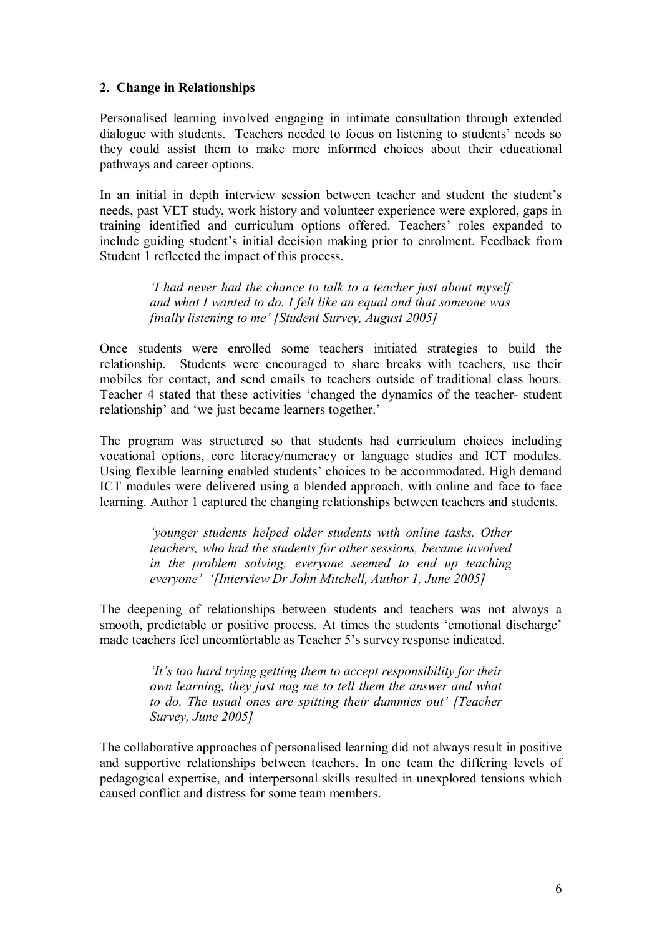#### **2. Change in Relationships**

Personalised learning involved engaging in intimate consultation through extended dialogue with students. Teachers needed to focus on listening to students' needs so they could assist them to make more informed choices about their educational pathways and career options.

In an initial in depth interview session between teacher and student the student's needs, past VET study, work history and volunteer experience were explored, gaps in training identified and curriculum options offered. Teachers' roles expanded to include guiding student's initial decision making prior to enrolment. Feedback from Student 1 reflected the impact of this process.

> *'I had never had the chance to talk to a teacher just about myself and what I wanted to do. I felt like an equal and that someone was finally listening to me' [Student Survey, August 2005]*

Once students were enrolled some teachers initiated strategies to build the relationship. Students were encouraged to share breaks with teachers, use their mobiles for contact, and send emails to teachers outside of traditional class hours. Teacher 4 stated that these activities 'changed the dynamics of the teacher-student relationship' and 'we just became learners together.'

The program was structured so that students had curriculum choices including vocational options, core literacy/numeracy or language studies and ICT modules. Using flexible learning enabled students' choices to be accommodated. High demand ICT modules were delivered using a blended approach, with online and face to face learning. Author 1 captured the changing relationships between teachers and students.

> *'younger students helped older students with online tasks. Other teachers, who had the students for other sessions, became involved in the problem solving, everyone seemed to end up teaching everyone' '[Interview Dr John Mitchell, Author 1, June 2005]*

The deepening of relationships between students and teachers was not always a smooth, predictable or positive process. At times the students 'emotional discharge' made teachers feel uncomfortable as Teacher 5's survey response indicated.

> *'It's too hard trying getting them to accept responsibility for their own learning, they just nag me to tell them the answer and what to do. The usual ones are spitting their dummies out' [Teacher Survey, June 2005]*

The collaborative approaches of personalised learning did not always result in positive and supportive relationships between teachers. In one team the differing levels of pedagogical expertise, and interpersonal skills resulted in unexplored tensions which caused conflict and distress for some team members.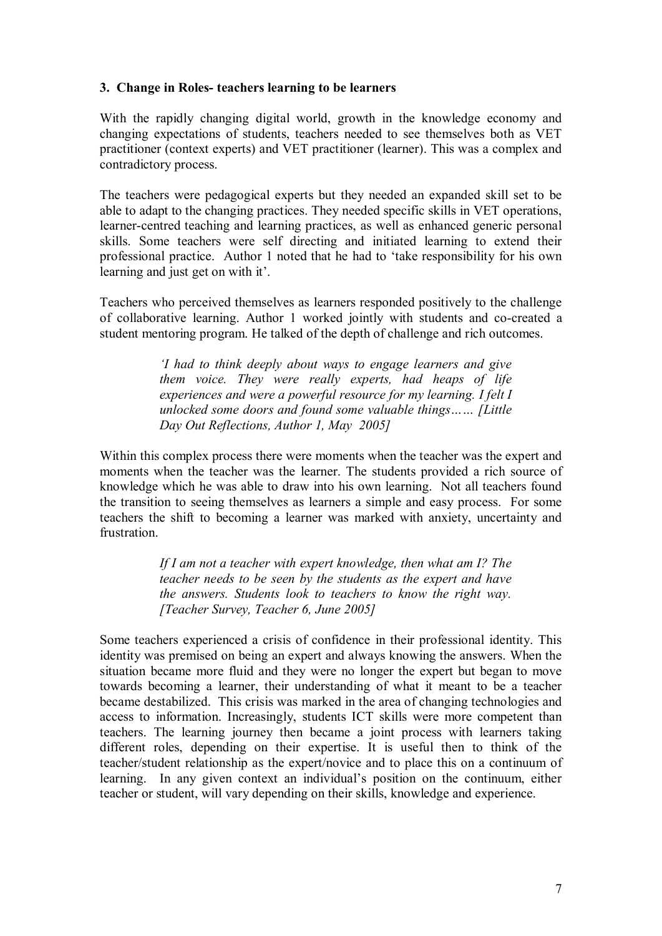#### **3. Change in Roles teachers learning to be learners**

With the rapidly changing digital world, growth in the knowledge economy and changing expectations of students, teachers needed to see themselves both as VET practitioner (context experts) and VET practitioner (learner). This was a complex and contradictory process.

The teachers were pedagogical experts but they needed an expanded skill set to be able to adapt to the changing practices. They needed specific skills in VET operations, learner-centred teaching and learning practices, as well as enhanced generic personal skills. Some teachers were self directing and initiated learning to extend their professional practice. Author 1 noted that he had to 'take responsibility for his own learning and just get on with it'.

Teachers who perceived themselves as learners responded positively to the challenge of collaborative learning. Author 1 worked jointly with students and cocreated a student mentoring program. He talked of the depth of challenge and rich outcomes.

> *'I had to think deeply about ways to engage learners and give them voice. They were really experts, had heaps of life experiences and were a powerful resource for my learning. I felt I unlocked some doors and found some valuable things…… [Little Day Out Reflections, Author 1, May 2005]*

Within this complex process there were moments when the teacher was the expert and moments when the teacher was the learner. The students provided a rich source of knowledge which he was able to draw into his own learning. Not all teachers found the transition to seeing themselves as learners a simple and easy process. For some teachers the shift to becoming a learner was marked with anxiety, uncertainty and frustration.

> *If I am not a teacher with expert knowledge, then what am I? The teacher needs to be seen by the students as the expert and have the answers. Students look to teachers to know the right way. [Teacher Survey, Teacher 6, June 2005]*

Some teachers experienced a crisis of confidence in their professional identity. This identity was premised on being an expert and always knowing the answers. When the situation became more fluid and they were no longer the expert but began to move towards becoming a learner, their understanding of what it meant to be a teacher became destabilized. This crisis was marked in the area of changing technologies and access to information. Increasingly, students ICT skills were more competent than teachers. The learning journey then became a joint process with learners taking different roles, depending on their expertise. It is useful then to think of the teacher/student relationship as the expert/novice and to place this on a continuum of learning. In any given context an individual's position on the continuum, either teacher or student, will vary depending on their skills, knowledge and experience.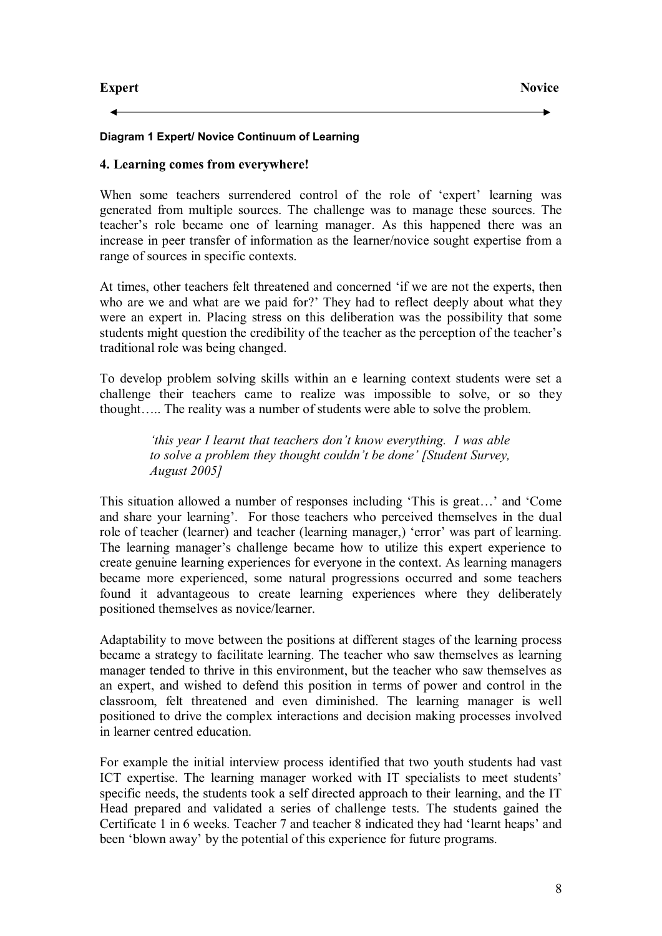#### **Diagram 1 Expert/ Novice Continuum of Learning**

#### **4. Learning comes from everywhere!**

When some teachers surrendered control of the role of 'expert' learning was generated from multiple sources. The challenge was to manage these sources. The teacher's role became one of learning manager. As this happened there was an increase in peer transfer of information as the learner/novice sought expertise from a range of sources in specific contexts.

At times, other teachers felt threatened and concerned 'if we are not the experts, then who are we and what are we paid for?' They had to reflect deeply about what they were an expert in. Placing stress on this deliberation was the possibility that some students might question the credibility of the teacher as the perception of the teacher's traditional role was being changed.

To develop problem solving skills within an e learning context students were set a challenge their teachers came to realize was impossible to solve, or so they thought….. The reality was a number of students were able to solve the problem.

> *'this year I learnt that teachers don't know everything. I was able to solve a problem they thought couldn't be done' [Student Survey, August 2005]*

This situation allowed a number of responses including 'This is great…' and 'Come and share your learning'. For those teachers who perceived themselves in the dual role of teacher (learner) and teacher (learning manager,) 'error' was part of learning. The learning manager's challenge became how to utilize this expert experience to create genuine learning experiences for everyone in the context. As learning managers became more experienced, some natural progressions occurred and some teachers found it advantageous to create learning experiences where they deliberately positioned themselves as novice/learner.

Adaptability to move between the positions at different stages of the learning process became a strategy to facilitate learning. The teacher who saw themselves as learning manager tended to thrive in this environment, but the teacher who saw themselves as an expert, and wished to defend this position in terms of power and control in the classroom, felt threatened and even diminished. The learning manager is well positioned to drive the complex interactions and decision making processes involved in learner centred education.

For example the initial interview process identified that two youth students had vast ICT expertise. The learning manager worked with IT specialists to meet students' specific needs, the students took a self directed approach to their learning, and the IT Head prepared and validated a series of challenge tests. The students gained the Certificate 1 in 6 weeks. Teacher 7 and teacher 8 indicated they had 'learnt heaps' and been 'blown away' by the potential of this experience for future programs.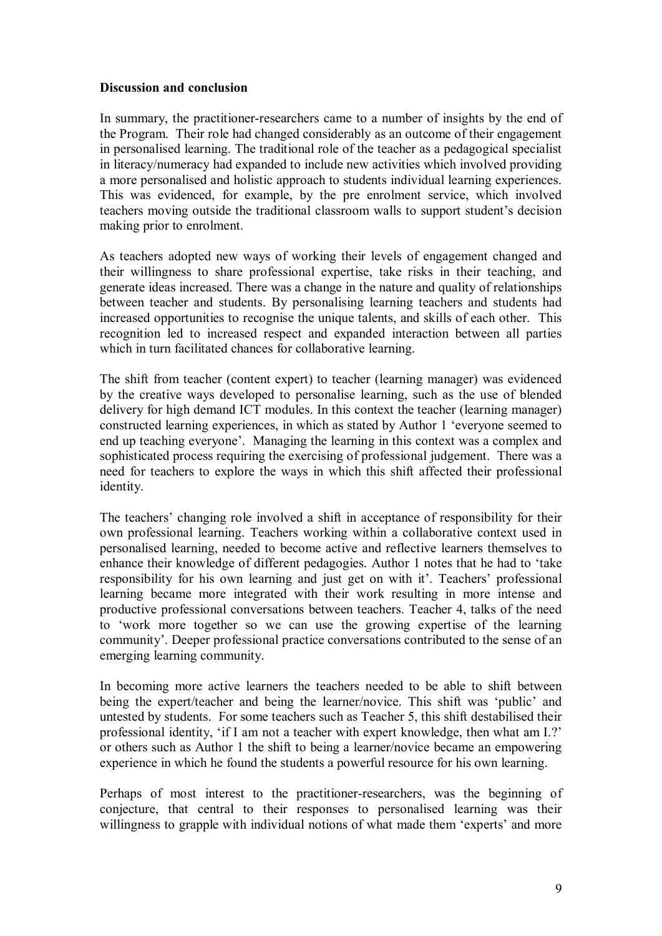#### **Discussion and conclusion**

In summary, the practitioner-researchers came to a number of insights by the end of the Program. Their role had changed considerably as an outcome of their engagement in personalised learning. The traditional role of the teacher as a pedagogical specialist in literacy/numeracy had expanded to include new activities which involved providing a more personalised and holistic approach to students individual learning experiences. This was evidenced, for example, by the pre enrolment service, which involved teachers moving outside the traditional classroom walls to support student's decision making prior to enrolment.

As teachers adopted new ways of working their levels of engagement changed and their willingness to share professional expertise, take risks in their teaching, and generate ideas increased. There was a change in the nature and quality of relationships between teacher and students. By personalising learning teachers and students had increased opportunities to recognise the unique talents, and skills of each other. This recognition led to increased respect and expanded interaction between all parties which in turn facilitated chances for collaborative learning.

The shift from teacher (content expert) to teacher (learning manager) was evidenced by the creative ways developed to personalise learning, such as the use of blended delivery for high demand ICT modules. In this context the teacher (learning manager) constructed learning experiences, in which as stated by Author 1 'everyone seemed to end up teaching everyone'. Managing the learning in this context was a complex and sophisticated process requiring the exercising of professional judgement. There was a need for teachers to explore the ways in which this shift affected their professional identity.

The teachers' changing role involved a shift in acceptance of responsibility for their own professional learning. Teachers working within a collaborative context used in personalised learning, needed to become active and reflective learners themselves to enhance their knowledge of different pedagogies. Author 1 notes that he had to 'take responsibility for his own learning and just get on with it'. Teachers' professional learning became more integrated with their work resulting in more intense and productive professional conversations between teachers. Teacher 4, talks of the need to 'work more together so we can use the growing expertise of the learning community'. Deeper professional practice conversations contributed to the sense of an emerging learning community.

In becoming more active learners the teachers needed to be able to shift between being the expert/teacher and being the learner/novice. This shift was 'public' and untested by students. For some teachers such as Teacher 5, this shift destabilised their professional identity, 'if I am not a teacher with expert knowledge, then what am I.?' or others such as Author 1 the shift to being a learner/novice became an empowering experience in which he found the students a powerful resource for his own learning.

Perhaps of most interest to the practitioner-researchers, was the beginning of conjecture, that central to their responses to personalised learning was their willingness to grapple with individual notions of what made them 'experts' and more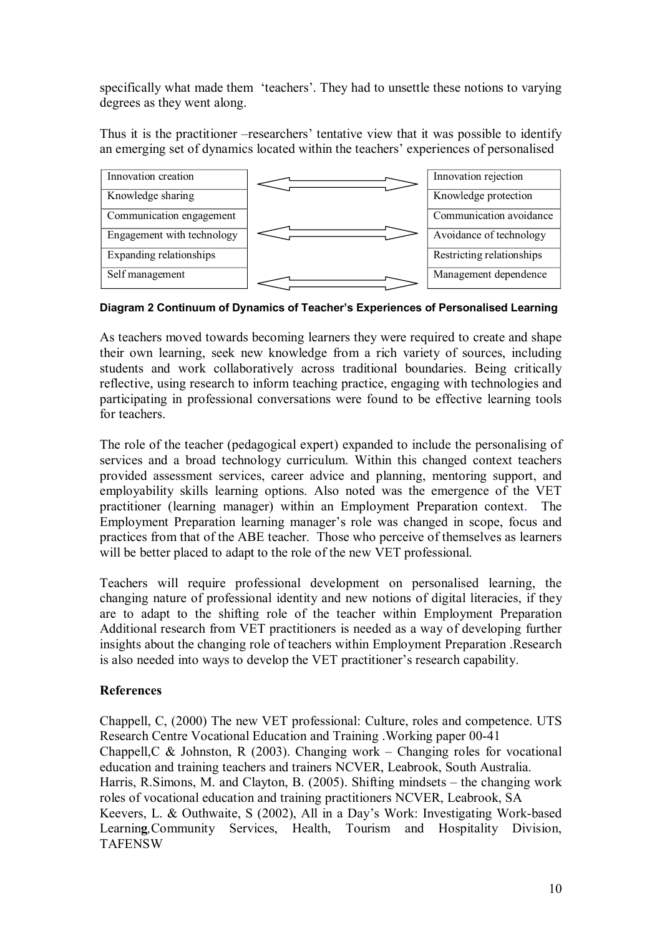specifically what made them 'teachers'. They had to unsettle these notions to varying degrees as they went along.

Thus it is the practitioner –researchers' tentative view that it was possible to identify an emerging set of dynamics located within the teachers' experiences of personalised



**Diagram 2 Continuum of Dynamics of Teacher's Experiences of Personalised Learning**

As teachers moved towards becoming learners they were required to create and shape their own learning, seek new knowledge from a rich variety of sources, including students and work collaboratively across traditional boundaries. Being critically reflective, using research to inform teaching practice, engaging with technologies and participating in professional conversations were found to be effective learning tools for teachers.

The role of the teacher (pedagogical expert) expanded to include the personalising of services and a broad technology curriculum. Within this changed context teachers provided assessment services, career advice and planning, mentoring support, and employability skills learning options. Also noted was the emergence of the VET practitioner (learning manager) within an Employment Preparation context. The Employment Preparation learning manager's role was changed in scope, focus and practices from that of the ABE teacher. Those who perceive of themselves as learners will be better placed to adapt to the role of the new VET professional.

Teachers will require professional development on personalised learning, the changing nature of professional identity and new notions of digital literacies, if they are to adapt to the shifting role of the teacher within Employment Preparation Additional research from VET practitioners is needed as a way of developing further insights about the changing role of teachers within Employment Preparation .Research is also needed into ways to develop the VET practitioner's research capability.

## **References**

Chappell, C, (2000) The new VET professional: Culture, roles and competence. UTS Research Centre Vocational Education and Training . Working paper 00-41 Chappell, C & Johnston, R (2003). Changing work – Changing roles for vocational education [and training teachers](http://www.ncver.edu.au/teaching/publications/936.html) and trainers NCVER, Leabrook, South Australia. Harris, R.Simons, M. and Clayton, B. (2005). Shifting mindsets – the changing work roles of vocational education [and training practitioners NCVER,](http://www.ncver.edu.au/publications/1524.html) Leabrook, SA Keevers, L. & Outhwaite, S (2002), All in a Day's Work: Investigating Work-based Learnin**g***,*Community Services, Health, Tourism and Hospitality Division, **TAFENSW**